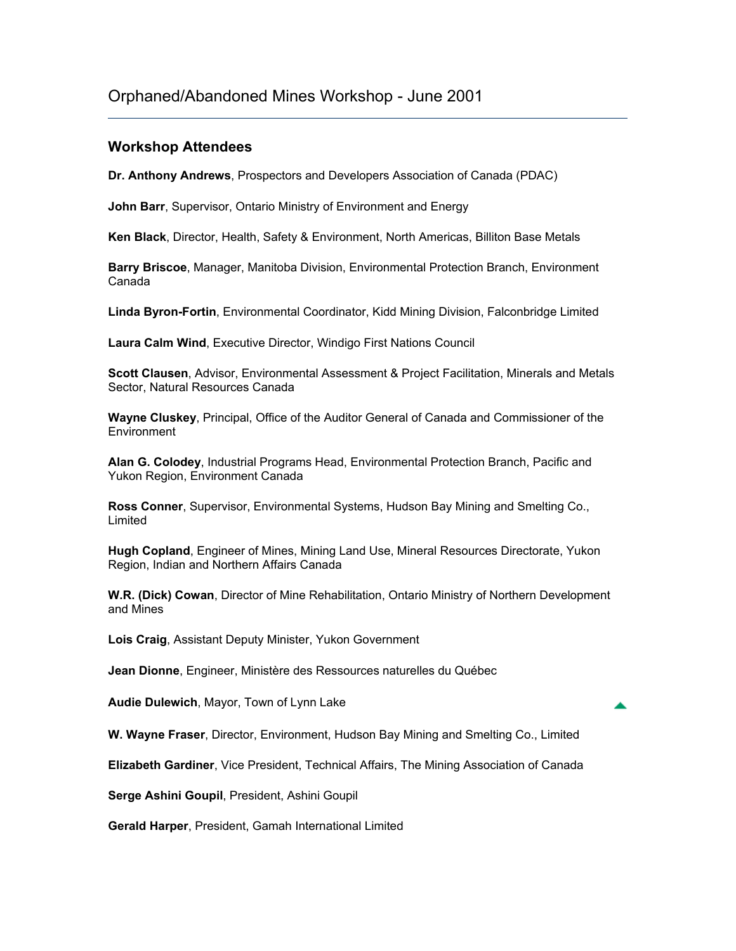## **Workshop Attendees**

**Dr. Anthony Andrews**, Prospectors and Developers Association of Canada (PDAC)

**John Barr**, Supervisor, Ontario Ministry of Environment and Energy

**Ken Black**, Director, Health, Safety & Environment, North Americas, Billiton Base Metals

**Barry Briscoe**, Manager, Manitoba Division, Environmental Protection Branch, Environment Canada

**Linda Byron-Fortin**, Environmental Coordinator, Kidd Mining Division, Falconbridge Limited

**Laura Calm Wind**, Executive Director, Windigo First Nations Council

**Scott Clausen**, Advisor, Environmental Assessment & Project Facilitation, Minerals and Metals Sector, Natural Resources Canada

**Wayne Cluskey**, Principal, Office of the Auditor General of Canada and Commissioner of the **Environment** 

**Alan G. Colodey**, Industrial Programs Head, Environmental Protection Branch, Pacific and Yukon Region, Environment Canada

**Ross Conner**, Supervisor, Environmental Systems, Hudson Bay Mining and Smelting Co., Limited

**Hugh Copland**, Engineer of Mines, Mining Land Use, Mineral Resources Directorate, Yukon Region, Indian and Northern Affairs Canada

**W.R. (Dick) Cowan**, Director of Mine Rehabilitation, Ontario Ministry of Northern Development and Mines

**Lois Craig**, Assistant Deputy Minister, Yukon Government

**Jean Dionne**, Engineer, Ministère des Ressources naturelles du Québec

**Audie Dulewich**, Mayor, Town of Lynn Lake

**W. Wayne Fraser**, Director, Environment, Hudson Bay Mining and Smelting Co., Limited

**Elizabeth Gardiner**, Vice President, Technical Affairs, The Mining Association of Canada

**Serge Ashini Goupil**, President, Ashini Goupil

**Gerald Harper**, President, Gamah International Limited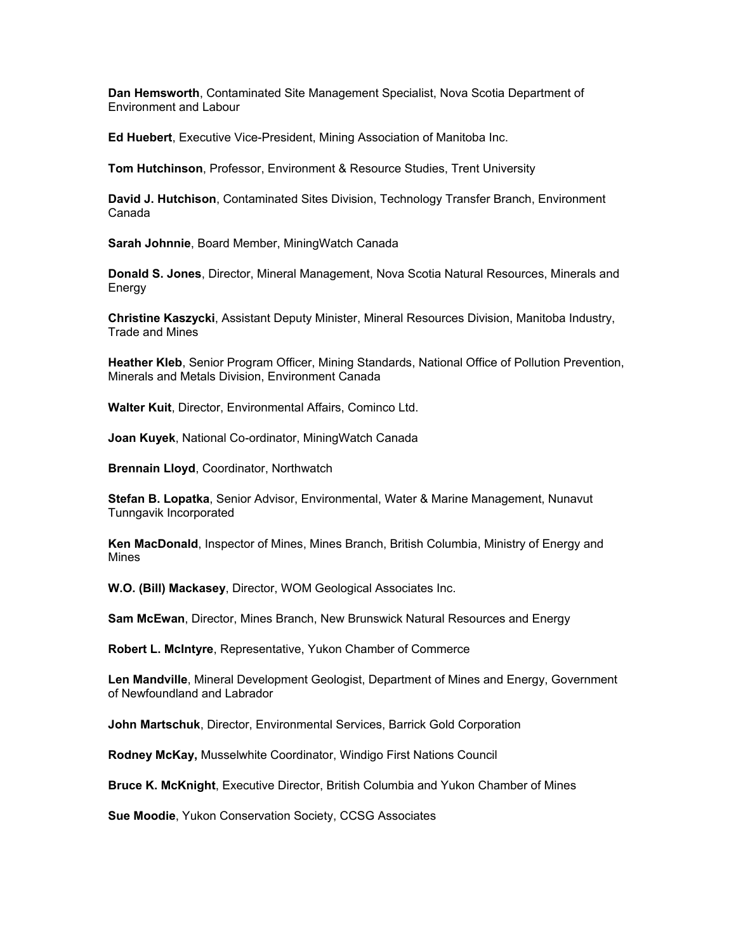**Dan Hemsworth**, Contaminated Site Management Specialist, Nova Scotia Department of Environment and Labour

**Ed Huebert**, Executive Vice-President, Mining Association of Manitoba Inc.

**Tom Hutchinson**, Professor, Environment & Resource Studies, Trent University

**David J. Hutchison**, Contaminated Sites Division, Technology Transfer Branch, Environment Canada

**Sarah Johnnie**, Board Member, MiningWatch Canada

**Donald S. Jones**, Director, Mineral Management, Nova Scotia Natural Resources, Minerals and **Energy** 

**Christine Kaszycki**, Assistant Deputy Minister, Mineral Resources Division, Manitoba Industry, Trade and Mines

**Heather Kleb**, Senior Program Officer, Mining Standards, National Office of Pollution Prevention, Minerals and Metals Division, Environment Canada

**Walter Kuit**, Director, Environmental Affairs, Cominco Ltd.

**Joan Kuyek**, National Co-ordinator, MiningWatch Canada

**Brennain Lloyd**, Coordinator, Northwatch

**Stefan B. Lopatka**, Senior Advisor, Environmental, Water & Marine Management, Nunavut Tunngavik Incorporated

**Ken MacDonald**, Inspector of Mines, Mines Branch, British Columbia, Ministry of Energy and Mines

**W.O. (Bill) Mackasey**, Director, WOM Geological Associates Inc.

**Sam McEwan**, Director, Mines Branch, New Brunswick Natural Resources and Energy

**Robert L. McIntyre**, Representative, Yukon Chamber of Commerce

**Len Mandville**, Mineral Development Geologist, Department of Mines and Energy, Government of Newfoundland and Labrador

**John Martschuk**, Director, Environmental Services, Barrick Gold Corporation

**Rodney McKay,** Musselwhite Coordinator, Windigo First Nations Council

**Bruce K. McKnight**, Executive Director, British Columbia and Yukon Chamber of Mines

**Sue Moodie**, Yukon Conservation Society, CCSG Associates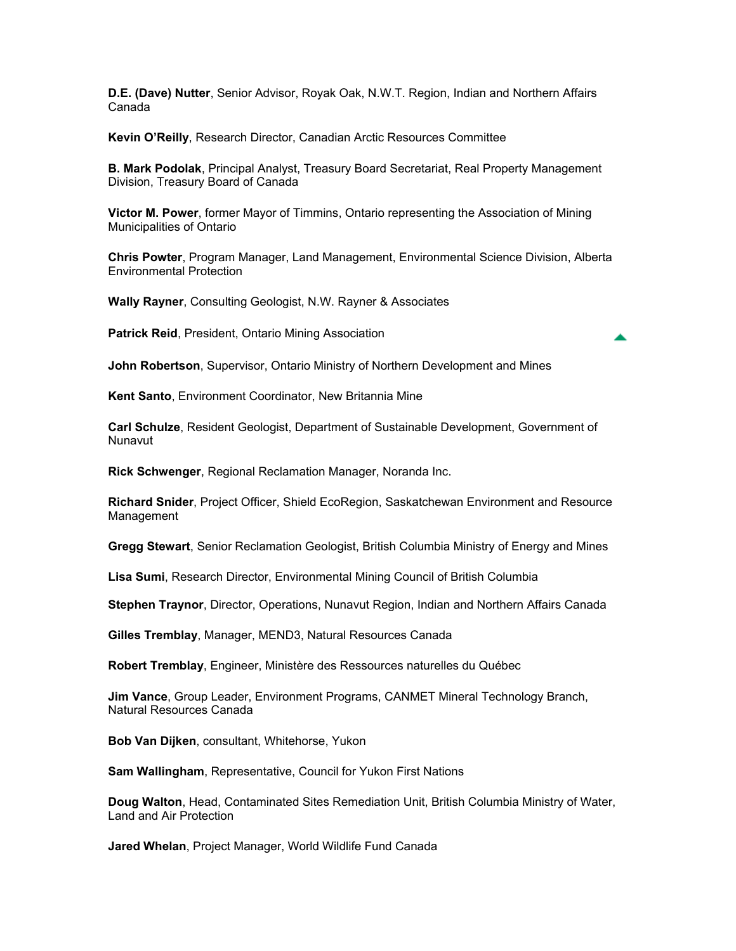**D.E. (Dave) Nutter**, Senior Advisor, Royak Oak, N.W.T. Region, Indian and Northern Affairs Canada

**Kevin O'Reilly**, Research Director, Canadian Arctic Resources Committee

**B. Mark Podolak**, Principal Analyst, Treasury Board Secretariat, Real Property Management Division, Treasury Board of Canada

**Victor M. Power**, former Mayor of Timmins, Ontario representing the Association of Mining Municipalities of Ontario

**Chris Powter**, Program Manager, Land Management, Environmental Science Division, Alberta Environmental Protection

**Wally Rayner**, Consulting Geologist, N.W. Rayner & Associates

**Patrick Reid**, President, Ontario Mining Association

**John Robertson**, Supervisor, Ontario Ministry of Northern Development and Mines

**Kent Santo**, Environment Coordinator, New Britannia Mine

**Carl Schulze**, Resident Geologist, Department of Sustainable Development, Government of Nunavut

**Rick Schwenger**, Regional Reclamation Manager, Noranda Inc.

**Richard Snider**, Project Officer, Shield EcoRegion, Saskatchewan Environment and Resource Management

**Gregg Stewart**, Senior Reclamation Geologist, British Columbia Ministry of Energy and Mines

**Lisa Sumi**, Research Director, Environmental Mining Council of British Columbia

**Stephen Traynor**, Director, Operations, Nunavut Region, Indian and Northern Affairs Canada

**Gilles Tremblay**, Manager, MEND3, Natural Resources Canada

**Robert Tremblay**, Engineer, Ministère des Ressources naturelles du Québec

**Jim Vance**, Group Leader, Environment Programs, CANMET Mineral Technology Branch, Natural Resources Canada

**Bob Van Dijken**, consultant, Whitehorse, Yukon

**Sam Wallingham**, Representative, Council for Yukon First Nations

**Doug Walton**, Head, Contaminated Sites Remediation Unit, British Columbia Ministry of Water, Land and Air Protection

**Jared Whelan**, Project Manager, World Wildlife Fund Canada